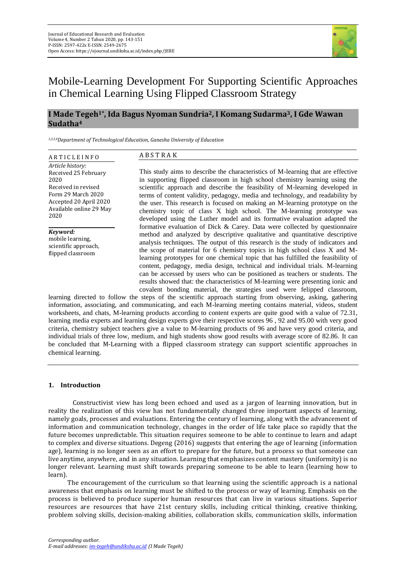

# Mobile-Learning Development For Supporting Scientific Approaches in Chemical Learning Using Flipped Classroom Strategy

# **I Made Tegeh1\* , Ida Bagus Nyoman Sundria2, I Komang Sudarma3, I Gde Wawan Sudatha<sup>4</sup>**

*1,2,3,4Department of Technological Education, Ganesha University of Education*

### A R T I C L E I N F O *Article history:* Received 25 February 2020 Received in revised Form 29 March 2020 Accepted 20 April 2020 Available online 29 May 2020

*Keyword:* mobile learning, scientific approach, flipped classroom

# A B S T R A K

This study aims to describe the characteristics of M-learning that are effective in supporting flipped classroom in high school chemistry learning using the scientific approach and describe the feasibility of M-learning developed in terms of content validity, pedagogy, media and technology, and readability by the user. This research is focused on making an M-learning prototype on the chemistry topic of class X high school. The M-learning prototype was developed using the Luther model and its formative evaluation adapted the formative evaluation of Dick & Carey. Data were collected by questionnaire method and analyzed by descriptive qualitative and quantitative descriptive analysis techniques. The output of this research is the study of indicators and the scope of material for 6 chemistry topics in high school class X and Mlearning prototypes for one chemical topic that has fulfilled the feasibility of content, pedagogy, media design, technical and individual trials. M-learning can be accessed by users who can be positioned as teachers or students. The results showed that: the characteristics of M-learning were presenting ionic and covalent bonding material, the strategies used were felipped classroom,

learning directed to follow the steps of the scientific approach starting from observing, asking, gathering information, associating, and communicating, and each M-learning meeting contains material, videos, student worksheets, and chats, M-learning products according to content experts are quite good with a value of 72.31, learning media experts and learning design experts give their respective scores 96 , 92 and 95.00 with very good criteria, chemistry subject teachers give a value to M-learning products of 96 and have very good criteria, and individual trials of three low, medium, and high students show good results with average score of 82.86. It can be concluded that M-Learning with a flipped classroom strategy can support scientific approaches in chemical learning.

# **1. Introduction**

Constructivist view has long been echoed and used as a jargon of learning innovation, but in reality the realization of this view has not fundamentally changed three important aspects of learning, namely goals, processes and evaluations. Entering the century of learning, along with the advancement of information and communication technology, changes in the order of life take place so rapidly that the future becomes unpredictable. This situation requires someone to be able to continue to learn and adapt to complex and diverse situations. Degeng (2016) suggests that entering the age of learning (information age), learning is no longer seen as an effort to prepare for the future, but a process so that someone can live anytime, anywhere, and in any situation. Learning that emphasizes content mastery (uniformity) is no longer relevant. Learning must shift towards preparing someone to be able to learn (learning how to learn).

The encouragement of the curriculum so that learning using the scientific approach is a national awareness that emphasis on learning must be shifted to the process or way of learning. Emphasis on the process is believed to produce superior human resources that can live in various situations. Superior resources are resources that have 21st century skills, including critical thinking, creative thinking, problem solving skills, decision-making abilities, collaboration skills, communication skills, information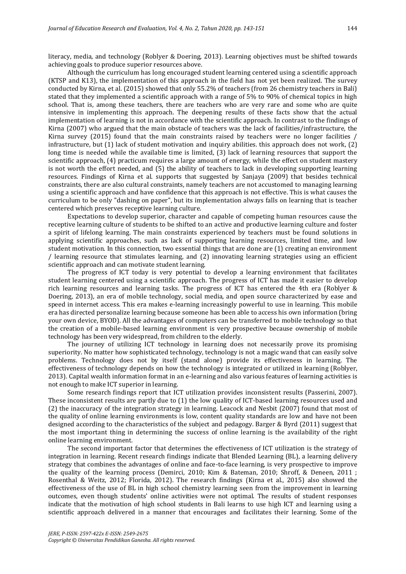literacy, media, and technology (Roblyer & Doering, 2013). Learning objectives must be shifted towards achieving goals to produce superior resources above.

Although the curriculum has long encouraged student learning centered using a scientific approach (KTSP and K13), the implementation of this approach in the field has not yet been realized. The survey conducted by Kirna, et al. (2015) showed that only 55.2% of teachers (from 26 chemistry teachers in Bali) stated that they implemented a scientific approach with a range of 5% to 90% of chemical topics in high school. That is, among these teachers, there are teachers who are very rare and some who are quite intensive in implementing this approach. The deepening results of these facts show that the actual implementation of learning is not in accordance with the scientific approach. In contrast to the findings of Kirna (2007) who argued that the main obstacle of teachers was the lack of facilities/infrastructure, the Kirna survey (2015) found that the main constraints raised by teachers were no longer facilities / infrastructure, but (1) lack of student motivation and inquiry abilities. this approach does not work, (2) long time is needed while the available time is limited, (3) lack of learning resources that support the scientific approach, (4) practicum requires a large amount of energy, while the effect on student mastery is not worth the effort needed, and (5) the ability of teachers to lack in developing supporting learning resources. Findings of Kirna et al. supports that suggested by Sanjaya (2009) that besides technical constraints, there are also cultural constraints, namely teachers are not accustomed to managing learning using a scientific approach and have confidence that this approach is not effective. This is what causes the curriculum to be only "dashing on paper", but its implementation always falls on learning that is teacher centered which preserves receptive learning culture.

Expectations to develop superior, character and capable of competing human resources cause the receptive learning culture of students to be shifted to an active and productive learning culture and foster a spirit of lifelong learning. The main constraints experienced by teachers must be found solutions in applying scientific approaches, such as lack of supporting learning resources, limited time, and low student motivation. In this connection, two essential things that are done are (1) creating an environment / learning resource that stimulates learning, and (2) innovating learning strategies using an efficient scientific approach and can motivate student learning.

The progress of ICT today is very potential to develop a learning environment that facilitates student learning centered using a scientific approach. The progress of ICT has made it easier to develop rich learning resources and learning tasks. The progress of ICT has entered the 4th era (Roblyer & Doering, 2013), an era of mobile technology, social media, and open source characterized by ease and speed in internet access. This era makes e-learning increasingly powerful to use in learning. This mobile era has directed personalize learning because someone has been able to access his own information (bring your own device, BYOD). All the advantages of computers can be transferred to mobile technology so that the creation of a mobile-based learning environment is very prospective because ownership of mobile technology has been very widespread, from children to the elderly.

The journey of utilizing ICT technology in learning does not necessarily prove its promising superiority. No matter how sophisticated technology, technology is not a magic wand that can easily solve problems. Technology does not by itself (stand alone) provide its effectiveness in learning. The effectiveness of technology depends on how the technology is integrated or utilized in learning (Roblyer, 2013). Capital wealth information format in an e-learning and also various features of learning activities is not enough to make ICT superior in learning.

Some research findings report that ICT utilization provides inconsistent results (Passerini, 2007). These inconsistent results are partly due to (1) the low quality of ICT-based learning resources used and (2) the inaccuracy of the integration strategy in learning. Leacock and Nesbit (2007) found that most of the quality of online learning environments is low, content quality standards are low and have not been designed according to the characteristics of the subject and pedagogy. Barger & Byrd (2011) suggest that the most important thing in determining the success of online learning is the availability of the right online learning environment.

The second important factor that determines the effectiveness of ICT utilization is the strategy of integration in learning. Recent research findings indicate that Blended Learning (BL), a learning delivery strategy that combines the advantages of online and face-to-face learning, is very prospective to improve the quality of the learning process (Demirci, 2010; Kim & Bateman, 2010; Shroff, & Deneen, 2011 ; Rosenthal & Weitz, 2012; Florida, 2012). The research findings (Kirna et al., 2015) also showed the effectiveness of the use of BL in high school chemistry learning seen from the improvement in learning outcomes, even though students' online activities were not optimal. The results of student responses indicate that the motivation of high school students in Bali learns to use high ICT and learning using a scientific approach delivered in a manner that encourages and facilitates their learning. Some of the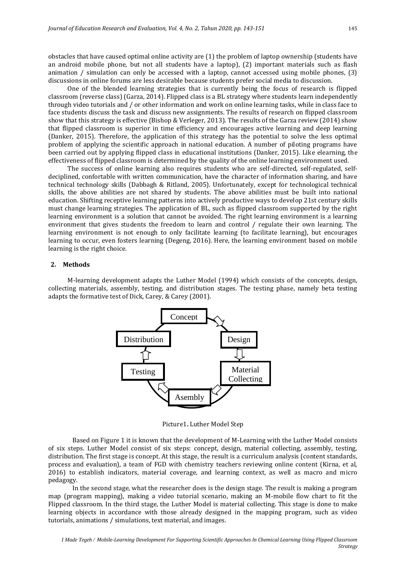obstacles that have caused optimal online activity are (1) the problem of laptop ownership (students have an android mobile phone, but not all students have a laptop), (2) important materials such as flash animation / simulation can only be accessed with a laptop, cannot accessed using mobile phones, (3) discussions in online forums are less desirable because students prefer social media to discussion.

One of the blended learning strategies that is currently being the focus of research is flipped classroom (reverse class) (Garza, 2014). Flipped class is a BL strategy where students learn independently through video tutorials and / or other information and work on online learning tasks, while in class face to face students discuss the task and discuss new assignments. The results of research on flipped classroom show that this strategy is effective (Bishop & Verleger, 2013). The results of the Garza review (2014) show that flipped classroom is superior in time efficiency and encourages active learning and deep learning (Danker, 2015). Therefore, the application of this strategy has the potential to solve the less optimal problem of applying the scientific approach in national education. A number of piloting programs have been carried out by applying flipped class in educational institutions (Danker, 2015). Like elearning, the effectiveness of flipped classroom is determined by the quality of the online learning environment used.

The success of online learning also requires students who are self-directed, self-regulated, selfdeciplined, confortable with written communication, have the character of information sharing, and have technical technology skills (Dabbagh & Ritland, 2005). Unfortunately, except for technological technical skills, the above abilities are not shared by students. The above abilities must be built into national education. Shifting receptive learning patterns into actively productive ways to develop 21st century skills must change learning strategies. The application of BL, such as flipped classroom supported by the right learning environment is a solution that cannot be avoided. The right learning environment is a learning environment that gives students the freedom to learn and control / regulate their own learning. The learning environment is not enough to only facilitate learning (to facilitate learning), but encourages learning to occur, even fosters learning (Degeng, 2016). Here, the learning environment based on mobile learning is the right choice.

## **2. Methods**

M-learning development adapts the Luther Model (1994) which consists of the concepts, design, collecting materials, assembly, testing, and distribution stages. The testing phase, namely beta testing adapts the formative test of Dick, Carey, & Carey (2001).



Picture1**.** Luther Model Step

Based on Figure 1 it is known that the development of M-Learning with the Luther Model consists of six steps. Luther Model consist of six steps: concept, design, material collecting, assembly, testing, distribution. The first stage is concept. At this stage, the result is a curriculum analysis (content standards, process and evaluation), a team of FGD with chemistry teachers reviewing online content (Kirna, et al, 2016) to establish indicators, material coverage, and learning context, as well as macro and micro pedagogy.

In the second stage, what the researcher does is the design stage. The result is making a program map (program mapping), making a video tutorial scenario, making an M-mobile flow chart to fit the Flipped classroom. In the third stage, the Luther Model is material collecting. This stage is done to make learning objects in accordance with those already designed in the mapping program, such as video tutorials, animations / simulations, text material, and images.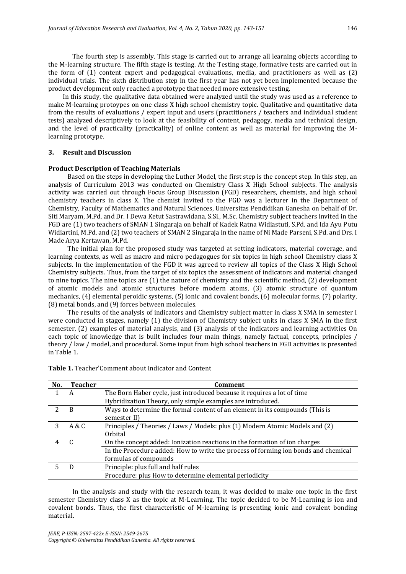The fourth step is assembly. This stage is carried out to arrange all learning objects according to the M-learning structure. The fifth stage is testing. At the Testing stage, formative tests are carried out in the form of (1) content expert and pedagogical evaluations, media, and practitioners as well as (2) individual trials. The sixth distribution step in the first year has not yet been implemented because the product development only reached a prototype that needed more extensive testing.

In this study, the qualitative data obtained were analyzed until the study was used as a reference to make M-learning protoypes on one class X high school chemistry topic. Qualitative and quantitative data from the results of evaluations / expert input and users (practitioners / teachers and individual student tests) analyzed descriptively to look at the feasibility of content, pedagogy, media and technical design, and the level of practicality (practicality) of online content as well as material for improving the Mlearning prototype.

# **3. Result and Discussion**

# **Product Description of Teaching Materials**

Based on the steps in developing the Luther Model, the first step is the concept step. In this step, an analysis of Curriculum 2013 was conducted on Chemistry Class X High School subjects. The analysis activity was carried out through Focus Group Discussion (FGD) researchers, chemists, and high school chemistry teachers in class X. The chemist invited to the FGD was a lecturer in the Department of Chemistry, Faculty of Mathematics and Natural Sciences, Universitas Pendidikan Ganesha on behalf of Dr. Siti Maryam, M.Pd. and Dr. I Dewa Ketut Sastrawidana, S.Si., M.Sc. Chemistry subject teachers invited in the FGD are (1) two teachers of SMAN 1 Singaraja on behalf of Kadek Ratna Widiastuti, S.Pd. and Ida Ayu Putu Widiartini, M.Pd. and (2) two teachers of SMAN 2 Singaraja in the name of Ni Made Parseni, S.Pd. and Drs. I Made Arya Kertawan, M.Pd.

The initial plan for the proposed study was targeted at setting indicators, material coverage, and learning contexts, as well as macro and micro pedagogues for six topics in high school Chemistry class X subjects. In the implementation of the FGD it was agreed to review all topics of the Class X High School Chemistry subjects. Thus, from the target of six topics the assessment of indicators and material changed to nine topics. The nine topics are (1) the nature of chemistry and the scientific method, (2) development of atomic models and atomic structures before modern atoms, (3) atomic structure of quantum mechanics, (4) elemental peroidic systems, (5) ionic and covalent bonds, (6) molecular forms, (7) polarity, (8) metal bonds, and (9) forces between molecules.

The results of the analysis of indicators and Chemistry subject matter in class X SMA in semester I were conducted in stages, namely (1) the division of Chemistry subject units in class X SMA in the first semester, (2) examples of material analysis, and (3) analysis of the indicators and learning activities On each topic of knowledge that is built includes four main things, namely factual, concepts, principles / theory / law / model, and procedural. Some input from high school teachers in FGD activities is presented in Table 1.

| No. | <b>Teacher</b> | Comment                                                                                      |  |
|-----|----------------|----------------------------------------------------------------------------------------------|--|
|     | A              | The Born Haber cycle, just introduced because it requires a lot of time                      |  |
|     |                | Hybridization Theory, only simple examples are introduced.                                   |  |
|     | B              | Ways to determine the formal content of an element in its compounds (This is<br>semester II) |  |
| 3   | A & C          | Principles / Theories / Laws / Models: plus (1) Modern Atomic Models and (2)                 |  |
|     |                | Orbital                                                                                      |  |
|     |                | On the concept added: Ionization reactions in the formation of ion charges                   |  |
|     |                | In the Procedure added: How to write the process of forming ion bonds and chemical           |  |
|     |                | formulas of compounds                                                                        |  |
|     |                | Principle: plus full and half rules                                                          |  |
|     |                | Procedure: plus How to determine elemental periodicity                                       |  |

| <b>Table 1.</b> Teacher' Comment about Indicator and Content |  |  |
|--------------------------------------------------------------|--|--|
|--------------------------------------------------------------|--|--|

In the analysis and study with the research team, it was decided to make one topic in the first semester Chemistry class X as the topic at M-Learning. The topic decided to be M-Learning is ion and covalent bonds. Thus, the first characteristic of M-learning is presenting ionic and covalent bonding material.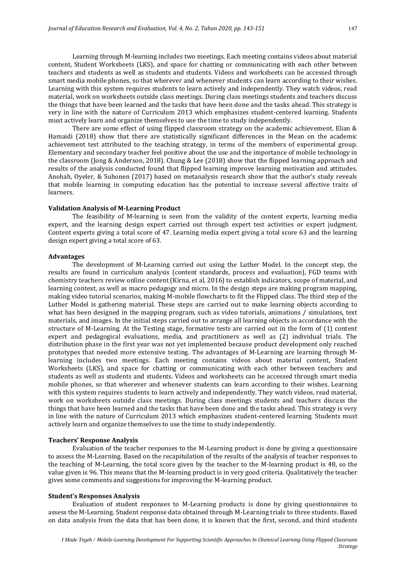Learning through M-learning includes two meetings. Each meeting contains videos about material content, Student Worksheets (LKS), and space for chatting or communicating with each other between teachers and students as well as students and students. Videos and worksheets can be accessed through smart media mobile phones, so that wherever and whenever students can learn according to their wishes. Learning with this system requires students to learn actively and independently. They watch videos, read material, work on worksheets outside class meetings. During class meetings students and teachers discuss the things that have been learned and the tasks that have been done and the tasks ahead. This strategy is very in line with the nature of Curriculum 2013 which emphasizes student-centered learning. Students must actively learn and organize themselves to use the time to study independently.

There are some effect of using flipped classroom strategy on the academic achievement. Elian & Hamaidi (2018) show that there are statistically significant differences in the Mean on the academic achievement test attributed to the teaching strategy, in terms of the members of experimental group. Elementary and secondary teacher feel positive about the use and the importance of mobile technology in the classroom (Jong & Anderson, 2018). Chung & Lee (2018) show that the flipped learning approach and results of the analysis conducted found that flipped learning improve learning motivation and attitudes. Anohah, Oyeler, & Suhonen (2017) based on metanalysis research show that the author's study reveals that mobile learning in computing education has the potential to increase several affective traits of learners.

#### **Validation Analysis of M-Learning Product**

The feasibility of M-learning is seen from the validity of the content experts, learning media expert, and the learning design expert carried out through expert test activities or expert judgment. Content experts giving a total score of 47. Learning media expert giving a total score 63 and the learning design expert giving a total score of 63.

## **Advantages**

The development of M-Learning carried out using the Luther Model. In the concept step, the results are found in curriculum analysis (content standards, process and evaluation), FGD teams with chemistry teachers review online content (Kirna, et al, 2016) to establish indicators, scope of material, and learning context, as well as macro pedagogy and micro. In the design steps are making program mapping, making video tutorial scenarios, making M-mobile flowcharts to fit the Flipped class. The third step of the Luther Model is gathering material. These steps are carried out to make learning objects according to what has been designed in the mapping program, such as video tutorials, animations / simulations, text materials, and images. In the initial steps carried out to arrange all learning objects in accordance with the structure of M-Learning. At the Testing stage, formative tests are carried out in the form of (1) content expert and pedagogical evaluations, media, and practitioners as well as (2) individual trials. The distribution phase in the first year was not yet implemented because product development only reached prototypes that needed more extensive testing. The advantages of M-Learning are learning through Mlearning includes two meetings. Each meeting contains videos about material content, Student Worksheets (LKS), and space for chatting or communicating with each other between teachers and students as well as students and students. Videos and worksheets can be accessed through smart media mobile phones, so that wherever and whenever students can learn according to their wishes. Learning with this system requires students to learn actively and independently. They watch videos, read material, work on worksheets outside class meetings. During class meetings students and teachers discuss the things that have been learned and the tasks that have been done and the tasks ahead. This strategy is very in line with the nature of Curriculum 2013 which emphasizes student-centered learning. Students must actively learn and organize themselves to use the time to study independently.

#### **Teachers' Response Analysis**

Evaluation of the teacher responses to the M-Learning product is done by giving a questionnaire to assess the M-Learning. Based on the recapitulation of the results of the analysis of teacher responses to the teaching of M-Learning, the total score given by the teacher to the M-learning product is 48, so the value given is 96. This means that the M-learning product is in very good criteria. Qualitatively the teacher gives some comments and suggestions for improving the M-learning product.

# **Student's Responses Analysis**

Evaluation of student responses to M-Learning products is done by giving questionnaires to assess the M-Learning. Student response data obtained through M-Learning trials to three students. Based on data analysis from the data that has been done, it is known that the first, second, and third students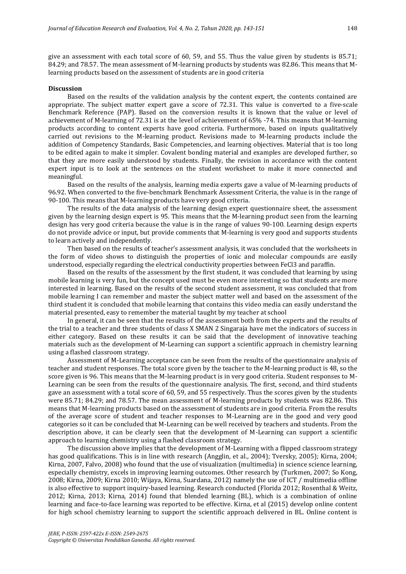give an assessment with each total score of 60, 59, and 55. Thus the value given by students is 85.71; 84.29; and 78.57. The mean assessment of M-learning products by students was 82.86. This means that Mlearning products based on the assessment of students are in good criteria

## **Discussion**

Based on the results of the validation analysis by the content expert, the contents contained are appropriate. The subject matter expert gave a score of 72.31. This value is converted to a five-scale Benchmark Reference (PAP). Based on the conversion results it is known that the value or level of achievement of M-learning of 72.31 is at the level of achievement of 65% -74. This means that M-learning products according to content experts have good criteria. Furthermore, based on inputs qualitatively carried out revisions to the M-learning product. Revisions made to M-learning products include the addition of Competency Standards, Basic Competencies, and learning objectives. Material that is too long to be edited again to make it simpler. Covalent bonding material and examples are developed further, so that they are more easily understood by students. Finally, the revision in accordance with the content expert input is to look at the sentences on the student worksheet to make it more connected and meaningful.

Based on the results of the analysis, learning media experts gave a value of M-learning products of 96.92. When converted to the five-benchmark Benchmark Assessment Criteria, the value is in the range of 90-100. This means that M-learning products have very good criteria.

The results of the data analysis of the learning design expert questionnaire sheet, the assessment given by the learning design expert is 95. This means that the M-learning product seen from the learning design has very good criteria because the value is in the range of values 90-100. Learning design experts do not provide advice or input, but provide comments that M-learning is very good and supports students to learn actively and independently.

Then based on the results of teacher's assessment analysis, it was concluded that the worksheets in the form of video shows to distinguish the properties of ionic and molecular compounds are easily understood, especially regarding the electrical conductivity properties between FeCl3 and paraffin.

Based on the results of the assessment by the first student, it was concluded that learning by using mobile learning is very fun, but the concept used must be even more interesting so that students are more interested in learning. Based on the results of the second student assessment, it was concluded that from mobile learning I can remember and master the subject matter well and based on the assessment of the third student it is concluded that mobile learning that contains this video media can easily understand the material presented, easy to remember the material taught by my teacher at school

In general, it can be seen that the results of the assessment both from the experts and the results of the trial to a teacher and three students of class X SMAN 2 Singaraja have met the indicators of success in either category. Based on these results it can be said that the development of innovative teaching materials such as the development of M-Learning can support a scientific approach in chemistry learning using a flashed classroom strategy.

Assessment of M-Learning acceptance can be seen from the results of the questionnaire analysis of teacher and student responses. The total score given by the teacher to the M-learning product is 48, so the score given is 96. This means that the M-learning product is in very good criteria. Student responses to M-Learning can be seen from the results of the questionnaire analysis. The first, second, and third students gave an assessment with a total score of 60, 59, and 55 respectively. Thus the scores given by the students were 85.71; 84.29; and 78.57. The mean assessment of M-learning products by students was 82.86. This means that M-learning products based on the assessment of students are in good criteria. From the results of the average score of student and teacher responses to M-Learning are in the good and very good categories so it can be concluded that M-Learning can be well received by teachers and students. From the description above, it can be clearly seen that the development of M-Learning can support a scientific approach to learning chemistry using a flashed classroom strategy.

The discussion above implies that the development of M-Learning with a flipped classroom strategy has good qualifications. This is in line with research (Angglin, et al., 2004); Tversky, 2005); Kirna, 2004; Kirna, 2007, Falvo, 2008) who found that the use of visualization (multimedia) in science science learning, especially chemistry, excels in improving learning outcomes. Other research by (Turkmen, 2007; So Kong, 2008; Kirna, 2009; Kirna 2010; Wijaya, Kirna, Suardana, 2012) namely the use of ICT / multimedia offline is also effective to support inquiry-based learning. Research conducted (Florida 2012; Rosenthal & Weitz, 2012; Kirna, 2013; Kirna, 2014) found that blended learning (BL), which is a combination of online learning and face-to-face learning was reported to be effective. Kirna, et al (2015) develop online content for high school chemistry learning to support the scientific approach delivered in BL. Online content is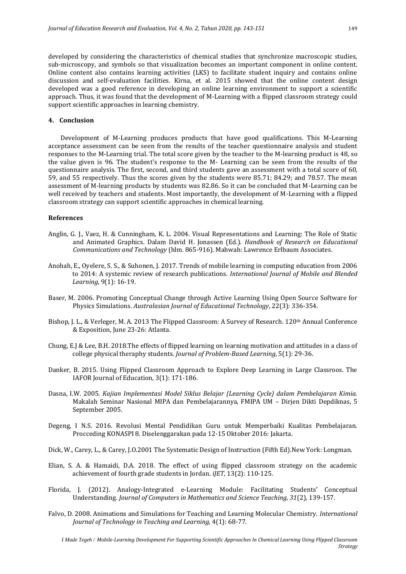developed by considering the characteristics of chemical studies that synchronize macroscopic studies, sub-microscopy, and symbols so that visualization becomes an important component in online content. Online content also contains learning activities (LKS) to facilitate student inquiry and contains online discussion and self-evaluation facilities. Kirna, et al. 2015 showed that the online content design developed was a good reference in developing an online learning environment to support a scientific approach. Thus, it was found that the development of M-Learning with a flipped classroom strategy could support scientific approaches in learning chemistry.

#### **4. Conclusion**

Development of M-Learning produces products that have good qualifications. This M-Learning acceptance assessment can be seen from the results of the teacher questionnaire analysis and student responses to the M-Learning trial. The total score given by the teacher to the M-learning product is 48, so the value given is 96. The student's response to the M- Learning can be seen from the results of the questionnaire analysis. The first, second, and third students gave an assessment with a total score of 60, 59, and 55 respectively. Thus the scores given by the students were 85.71; 84.29; and 78.57. The mean assessment of M-learning products by students was 82.86. So it can be concluded that M-Learning can be well received by teachers and students. Most importantly, the development of M-Learning with a flipped classroom strategy can support scientific approaches in chemical learning.

#### **References**

- Anglin, G. J., Vaez, H. & Cunningham, K. L. 2004. Visual Representations and Learning: The Role of Static and Animated Graphics. Dalam David H. Jonassen (Ed.). *Handbook of Research on Educational Communications and Technology* (hlm. 865-916). Mahwah: Lawrence Erlbaum Associates.
- Anohah, E., Oyelere, S. S., & Suhonen, J. 2017. Trends of mobile learning in computing education from 2006 to 2014: A systemic review of research publications. *International Journal of Mobile and Blended Learning*, 9(1): 16-19.
- Baser, M. 2006. Promoting Conceptual Change through Active Learning Using Open Source Software for Physics Simulations. *Australasian Journal of Educational Technology*, 22(3): 336-354.
- Bishop, J. L., & Verleger, M. A. 2013 The Flipped Classroom: A Survey of Research. 120th Annual Conference & Exposition, June 23-26: Atlanta.
- Chung, E.J & Lee, B.H. 2018.The effects of flipped learning on learning motivation and attitudes in a class of college physical theraphy students. *Journal of Problem-Based Learning*, 5(1): 29-36.
- Danker, B. 2015. Using Flipped Classroom Approach to Explore Deep Learning in Large Classroos. The IAFOR Journal of Education, 3(1): 171-186.
- Dasna, I.W. 2005. *Kajian Implementasi Model Siklus Belajar (Learning Cycle) dalam Pembelajaran Kimia.* Makalah Seminar Nasional MIPA dan Pembelajarannya, FMIPA UM – Dirjen Dikti Depdiknas, 5 September 2005.
- Degeng, I N.S. 2016. Revolusi Mental Pendidikan Guru untuk Memperbaiki Kualitas Pembelajaran. Procceding KONASPI 8. Diselenggarakan pada 12-15 Oktober 2016: Jakarta.
- Dick, W., Carey, L., & Carey, J.O.2001 The Systematic Design of Instruction (Fifth Ed).New York: Longman.
- Elian, S. A. & Hamaidi, D.A. 2018. The effect of using flipped classroom strategy on the academic achievement of fourth grade students in Jordan. *iJET*, 13(2): 110-125.
- Florida, J. (2012). Analogy-Integrated e-Learning Module: Facilitating Students' Conceptual Understanding. *Journal of Computers in Mathematics and Science Teaching, 31*(2), 139-157.
- Falvo, D. 2008. Animations and Simulations for Teaching and Learning Molecular Chemistry. *International Journal of Technology in Teaching and Learning,* 4(1): 68-77.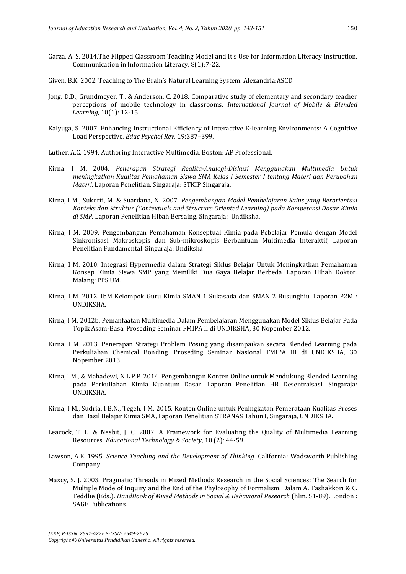- Garza, A. S. 2014.The Flipped Classroom Teaching Model and It's Use for Information Literacy Instruction. Communication in Information Literacy, 8(1):7-22.
- Given, B.K. 2002. Teaching to The Brain's Natural Learning System. Alexandria:ASCD
- Jong, D.D., Grundmeyer, T., & Anderson, C. 2018. Comparative study of elementary and secondary teacher perceptions of mobile technology in classrooms. *International Journal of Mobile & Blended Learning*, 10(1): 12-15.
- Kalyuga, S. 2007. Enhancing Instructional Efficiency of Interactive E-learning Environments: A Cognitive Load Perspective. *Educ Psychol Rev*, 19:387–399.
- Luther, A.C. 1994. Authoring Interactive Multimedia. Boston: AP Professional.
- Kirna. I M. 2004. *Penerapan Strategi Realita-Analogi-Diskusi Menggunakan Multimedia Untuk meningkatkan Kualitas Pemahaman Siswa SMA Kelas I Semester I tentang Materi dan Perubahan Materi*. Laporan Penelitian. Singaraja: STKIP Singaraja.
- Kirna, I M., Sukerti, M. & Suardana, N. 2007. *Pengembangan Model Pembelajaran Sains yang Berorientasi Konteks dan Struktur (Contextuals and Structure Oriented Learning) pada Kompetensi Dasar Kimia di SMP*. Laporan Penelitian Hibah Bersaing*,* Singaraja: Undiksha.
- Kirna, I M. 2009. Pengembangan Pemahaman Konseptual Kimia pada Pebelajar Pemula dengan Model Sinkronisasi Makroskopis dan Sub-mikroskopis Berbantuan Multimedia Interaktif, Laporan Penelitian Fundamental. Singaraja: Undiksha
- Kirna, I M. 2010. Integrasi Hypermedia dalam Strategi Siklus Belajar Untuk Meningkatkan Pemahaman Konsep Kimia Siswa SMP yang Memiliki Dua Gaya Belajar Berbeda. Laporan Hibah Doktor. Malang: PPS UM.
- Kirna, I M. 2012. IbM Kelompok Guru Kimia SMAN 1 Sukasada dan SMAN 2 Busungbiu. Laporan P2M : UNDIKSHA.
- Kirna, I M. 2012b. Pemanfaatan Multimedia Dalam Pembelajaran Menggunakan Model Siklus Belajar Pada Topik Asam-Basa. Proseding Seminar FMIPA II di UNDIKSHA, 30 Nopember 2012.
- Kirna, I M. 2013. Penerapan Strategi Problem Posing yang disampaikan secara Blended Learning pada Perkuliahan Chemical Bonding. Proseding Seminar Nasional FMIPA III di UNDIKSHA, 30 Nopember 2013.
- Kirna, I M., & Mahadewi, N.L.P.P. 2014. Pengembangan Konten Online untuk Mendukung Blended Learning pada Perkuliahan Kimia Kuantum Dasar. Laporan Penelitian HB Desentraisasi. Singaraja: UNDIKSHA.
- Kirna, I M., Sudria, I B.N., Tegeh, I M. 2015. Konten Online untuk Peningkatan Pemerataan Kualitas Proses dan Hasil Belajar Kimia SMA, Laporan Penelitian STRANAS Tahun I, Singaraja, UNDIKSHA.
- Leacock, T. L. & Nesbit, J. C. 2007. A Framework for Evaluating the Quality of Multimedia Learning Resources. *Educational Technology & Society*, 10 (2): 44-59.
- Lawson, A.E. 1995. *Science Teaching and the Development of Thinking.* California: Wadsworth Publishing Company.
- Maxcy, S. J. 2003. Pragmatic Threads in Mixed Methods Research in the Social Sciences: The Search for Multiple Mode of Inquiry and the End of the Phylosophy of Formalism. Dalam A. Tashakkori & C. Teddlie (Eds.). *HandBook of Mixed Methods in Social & Behavioral Research* (hlm. 51-89). London : SAGE Publications.